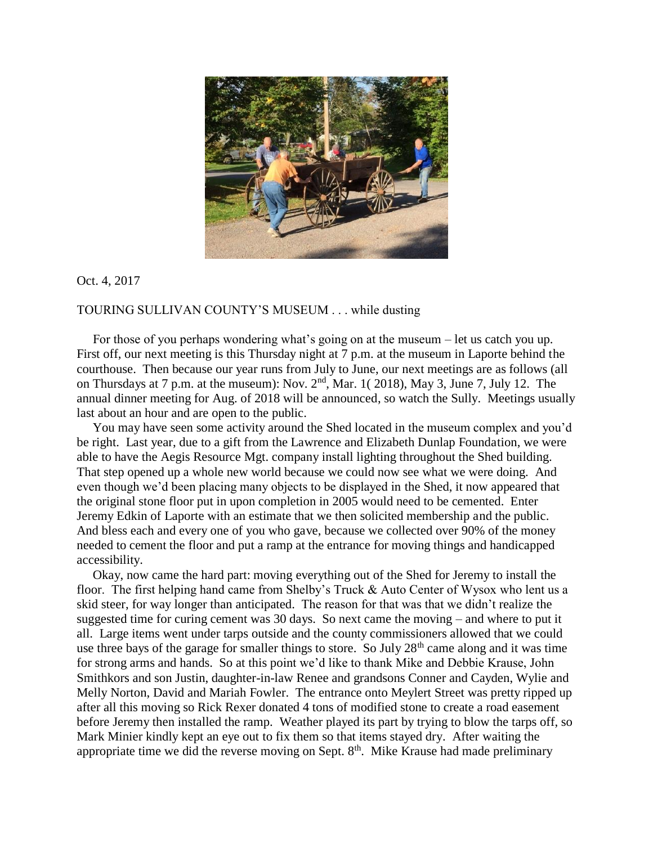

Oct. 4, 2017

## TOURING SULLIVAN COUNTY'S MUSEUM . . . while dusting

 For those of you perhaps wondering what's going on at the museum – let us catch you up. First off, our next meeting is this Thursday night at 7 p.m. at the museum in Laporte behind the courthouse. Then because our year runs from July to June, our next meetings are as follows (all on Thursdays at 7 p.m. at the museum): Nov.  $2<sup>nd</sup>$ , Mar. 1(2018), May 3, June 7, July 12. The annual dinner meeting for Aug. of 2018 will be announced, so watch the Sully. Meetings usually last about an hour and are open to the public.

 You may have seen some activity around the Shed located in the museum complex and you'd be right. Last year, due to a gift from the Lawrence and Elizabeth Dunlap Foundation, we were able to have the Aegis Resource Mgt. company install lighting throughout the Shed building. That step opened up a whole new world because we could now see what we were doing. And even though we'd been placing many objects to be displayed in the Shed, it now appeared that the original stone floor put in upon completion in 2005 would need to be cemented. Enter Jeremy Edkin of Laporte with an estimate that we then solicited membership and the public. And bless each and every one of you who gave, because we collected over 90% of the money needed to cement the floor and put a ramp at the entrance for moving things and handicapped accessibility.

 Okay, now came the hard part: moving everything out of the Shed for Jeremy to install the floor. The first helping hand came from Shelby's Truck & Auto Center of Wysox who lent us a skid steer, for way longer than anticipated. The reason for that was that we didn't realize the suggested time for curing cement was 30 days. So next came the moving – and where to put it all. Large items went under tarps outside and the county commissioners allowed that we could use three bays of the garage for smaller things to store. So July  $28<sup>th</sup>$  came along and it was time for strong arms and hands. So at this point we'd like to thank Mike and Debbie Krause, John Smithkors and son Justin, daughter-in-law Renee and grandsons Conner and Cayden, Wylie and Melly Norton, David and Mariah Fowler. The entrance onto Meylert Street was pretty ripped up after all this moving so Rick Rexer donated 4 tons of modified stone to create a road easement before Jeremy then installed the ramp. Weather played its part by trying to blow the tarps off, so Mark Minier kindly kept an eye out to fix them so that items stayed dry. After waiting the appropriate time we did the reverse moving on Sept.  $8<sup>th</sup>$ . Mike Krause had made preliminary